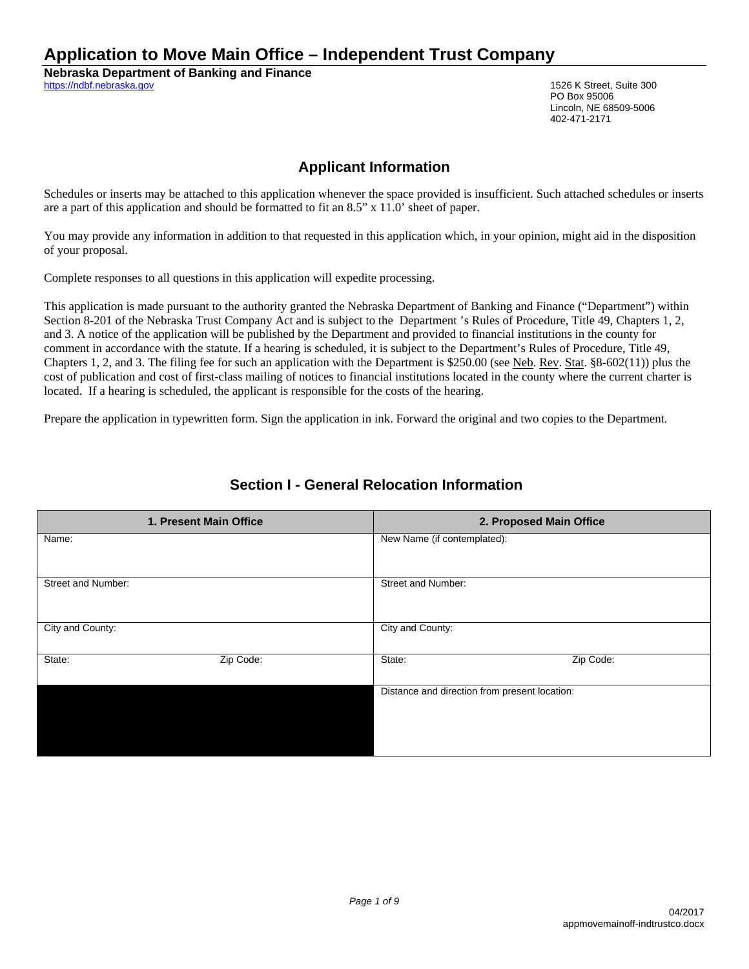# **Application to Move Main Office – Independent Trust Company**

**Nebraska Department of Banking and Finance** https://ndbf.nebraska.gov 1526 K Street, Suite 300

PO Box 95006 Lincoln, NE 68509-5006 402-471-2171

### **Applicant Information**

Schedules or inserts may be attached to this application whenever the space provided is insufficient. Such attached schedules or inserts are a part of this application and should be formatted to fit an 8.5" x 11.0' sheet of paper.

You may provide any information in addition to that requested in this application which, in your opinion, might aid in the disposition of your proposal.

Complete responses to all questions in this application will expedite processing.

This application is made pursuant to the authority granted the Nebraska Department of Banking and Finance ("Department") within Section 8-201 of the Nebraska Trust Company Act and is subject to the Department 's Rules of Procedure, Title 49, Chapters 1, 2, and 3. A notice of the application will be published by the Department and provided to financial institutions in the county for comment in accordance with the statute. If a hearing is scheduled, it is subject to the Department's Rules of Procedure, Title 49, Chapters 1, 2, and 3. The filing fee for such an application with the Department is \$250.00 (see <u>Neb</u>. Rev. Stat. §8-602(11)) plus the cost of publication and cost of first-class mailing of notices to financial institutions located in the county where the current charter is located. If a hearing is scheduled, the applicant is responsible for the costs of the hearing.

Prepare the application in typewritten form. Sign the application in ink. Forward the original and two copies to the Department.

| 1. Present Main Office | 2. Proposed Main Office                       |  |
|------------------------|-----------------------------------------------|--|
| Name:                  | New Name (if contemplated):                   |  |
| Street and Number:     | Street and Number:                            |  |
| City and County:       | City and County:                              |  |
| Zip Code:<br>State:    | Zip Code:<br>State:                           |  |
|                        | Distance and direction from present location: |  |

## **Section I - General Relocation Information**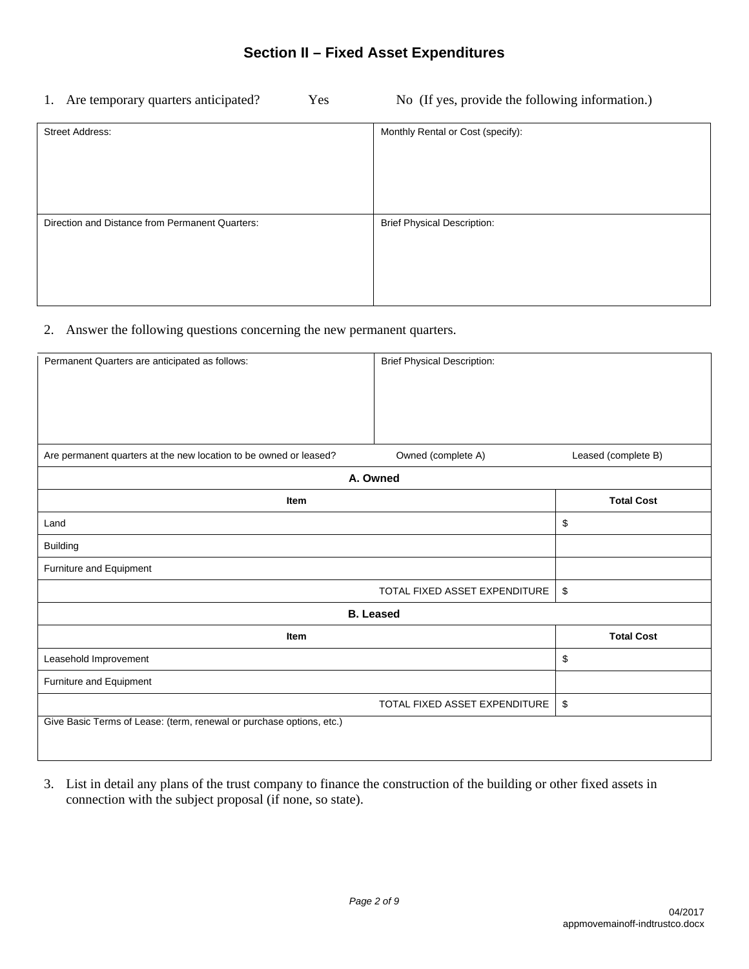1. Are temporary quarters anticipated? Yes No (If yes, provide the following information.)

| <b>Street Address:</b>                          | Monthly Rental or Cost (specify):  |
|-------------------------------------------------|------------------------------------|
|                                                 |                                    |
|                                                 |                                    |
|                                                 |                                    |
| Direction and Distance from Permanent Quarters: | <b>Brief Physical Description:</b> |
|                                                 |                                    |
|                                                 |                                    |
|                                                 |                                    |

#### 2. Answer the following questions concerning the new permanent quarters.

| Permanent Quarters are anticipated as follows:                       |                               |                     |  |  |
|----------------------------------------------------------------------|-------------------------------|---------------------|--|--|
|                                                                      |                               |                     |  |  |
|                                                                      |                               |                     |  |  |
|                                                                      |                               |                     |  |  |
| Are permanent quarters at the new location to be owned or leased?    | Owned (complete A)            | Leased (complete B) |  |  |
| A. Owned                                                             |                               |                     |  |  |
| Item                                                                 |                               | <b>Total Cost</b>   |  |  |
| Land                                                                 |                               | \$                  |  |  |
| <b>Building</b>                                                      |                               |                     |  |  |
| Furniture and Equipment                                              |                               |                     |  |  |
|                                                                      | TOTAL FIXED ASSET EXPENDITURE | \$                  |  |  |
| <b>B.</b> Leased                                                     |                               |                     |  |  |
| Item                                                                 |                               | <b>Total Cost</b>   |  |  |
| Leasehold Improvement                                                |                               | \$                  |  |  |
| Furniture and Equipment                                              |                               |                     |  |  |
|                                                                      | TOTAL FIXED ASSET EXPENDITURE | \$                  |  |  |
| Give Basic Terms of Lease: (term, renewal or purchase options, etc.) |                               |                     |  |  |
|                                                                      |                               |                     |  |  |

3. List in detail any plans of the trust company to finance the construction of the building or other fixed assets in connection with the subject proposal (if none, so state).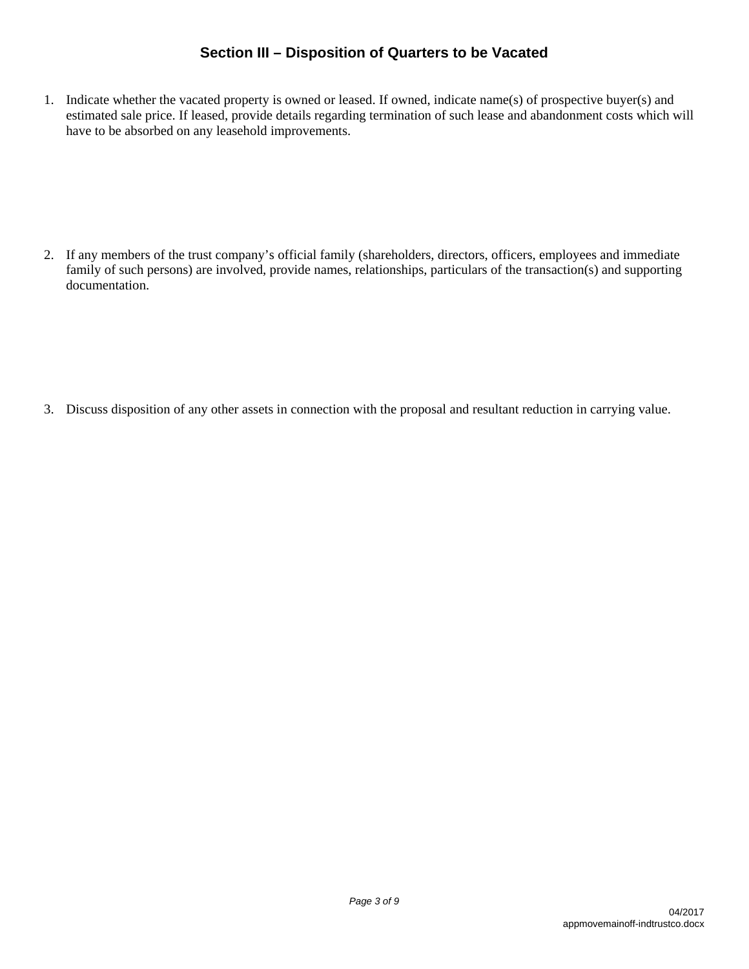### **Section III – Disposition of Quarters to be Vacated**

1. Indicate whether the vacated property is owned or leased. If owned, indicate name(s) of prospective buyer(s) and estimated sale price. If leased, provide details regarding termination of such lease and abandonment costs which will have to be absorbed on any leasehold improvements.

2. If any members of the trust company's official family (shareholders, directors, officers, employees and immediate family of such persons) are involved, provide names, relationships, particulars of the transaction(s) and supporting documentation.

3. Discuss disposition of any other assets in connection with the proposal and resultant reduction in carrying value.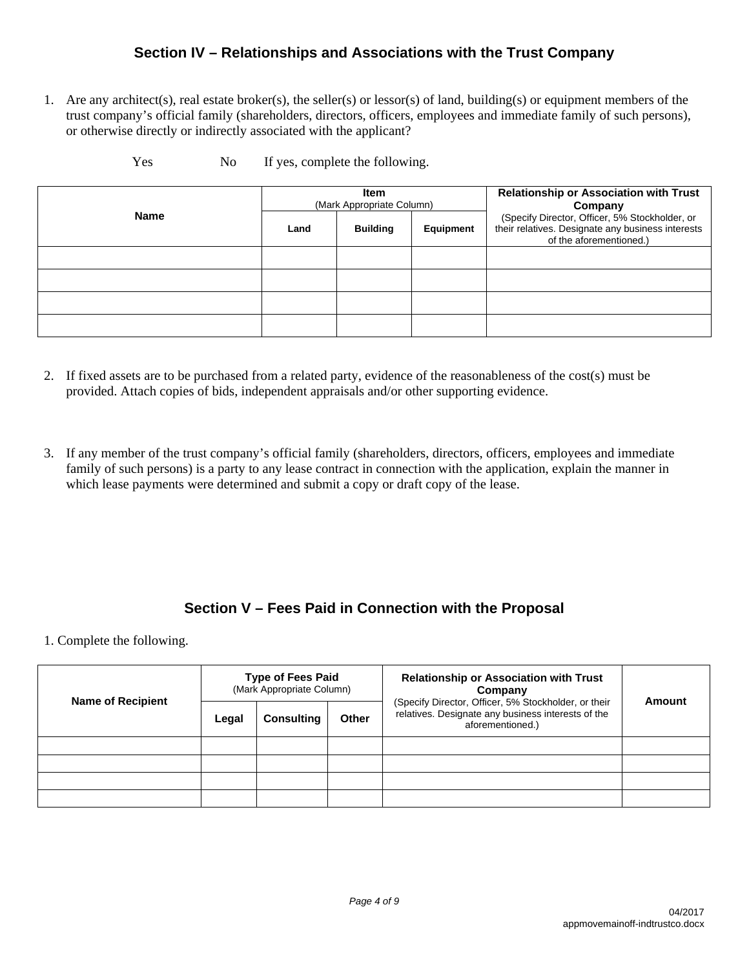#### **Section IV – Relationships and Associations with the Trust Company**

1. Are any architect(s), real estate broker(s), the seller(s) or lessor(s) of land, building(s) or equipment members of the trust company's official family (shareholders, directors, officers, employees and immediate family of such persons), or otherwise directly or indirectly associated with the applicant?

|             |      | Item<br>(Mark Appropriate Column) |           | <b>Relationship or Association with Trust</b><br>Company                                                                       |
|-------------|------|-----------------------------------|-----------|--------------------------------------------------------------------------------------------------------------------------------|
| <b>Name</b> | Land | <b>Building</b>                   | Equipment | (Specify Director, Officer, 5% Stockholder, or<br>their relatives. Designate any business interests<br>of the aforementioned.) |
|             |      |                                   |           |                                                                                                                                |
|             |      |                                   |           |                                                                                                                                |
|             |      |                                   |           |                                                                                                                                |
|             |      |                                   |           |                                                                                                                                |

Yes No If yes, complete the following.

- 2. If fixed assets are to be purchased from a related party, evidence of the reasonableness of the cost(s) must be provided. Attach copies of bids, independent appraisals and/or other supporting evidence.
- 3. If any member of the trust company's official family (shareholders, directors, officers, employees and immediate family of such persons) is a party to any lease contract in connection with the application, explain the manner in which lease payments were determined and submit a copy or draft copy of the lease.

## **Section V – Fees Paid in Connection with the Proposal**

1. Complete the following.

| <b>Name of Recipient</b> | <b>Type of Fees Paid</b><br>(Mark Appropriate Column) |                   | Company      |                                                                                                                                | <b>Relationship or Association with Trust</b> | Amount |
|--------------------------|-------------------------------------------------------|-------------------|--------------|--------------------------------------------------------------------------------------------------------------------------------|-----------------------------------------------|--------|
|                          | Legal                                                 | <b>Consulting</b> | <b>Other</b> | (Specify Director, Officer, 5% Stockholder, or their<br>relatives. Designate any business interests of the<br>aforementioned.) |                                               |        |
|                          |                                                       |                   |              |                                                                                                                                |                                               |        |
|                          |                                                       |                   |              |                                                                                                                                |                                               |        |
|                          |                                                       |                   |              |                                                                                                                                |                                               |        |
|                          |                                                       |                   |              |                                                                                                                                |                                               |        |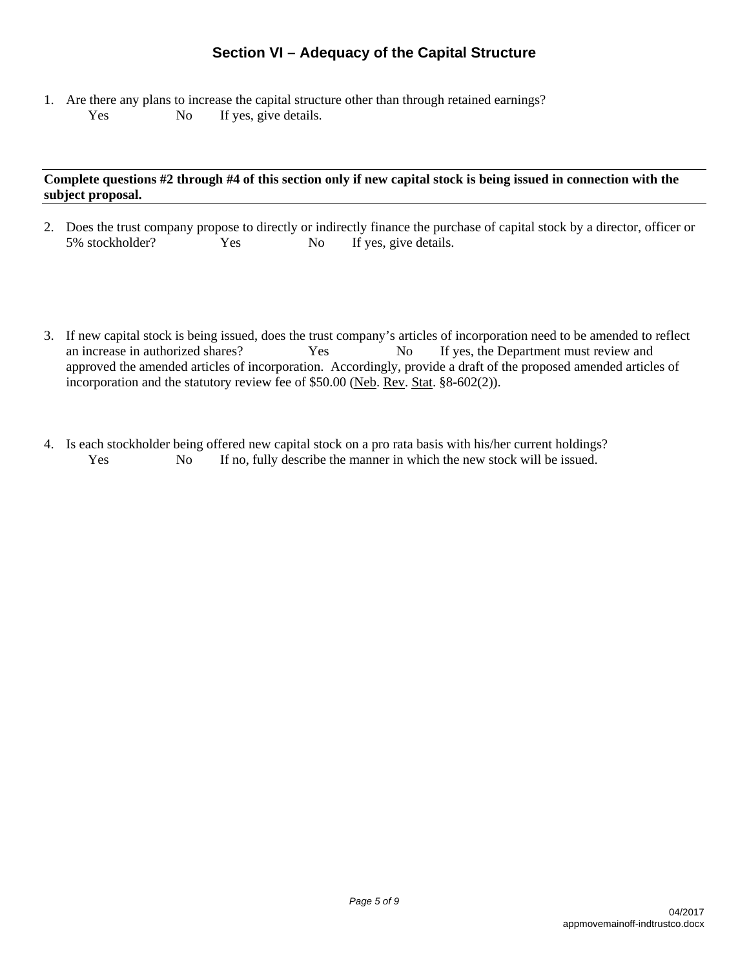## **Section VI – Adequacy of the Capital Structure**

1. Are there any plans to increase the capital structure other than through retained earnings? Yes No If yes, give details.

#### **Complete questions #2 through #4 of this section only if new capital stock is being issued in connection with the subject proposal.**

- 2. Does the trust company propose to directly or indirectly finance the purchase of capital stock by a director, officer or 5% stockholder? Yes No If yes, give details.
- 3. If new capital stock is being issued, does the trust company's articles of incorporation need to be amended to reflect an increase in authorized shares? Yes No If yes, the Department must review and approved the amended articles of incorporation. Accordingly, provide a draft of the proposed amended articles of incorporation and the statutory review fee of \$50.00 (Neb. Rev. Stat. §8-602(2)).
- 4. Is each stockholder being offered new capital stock on a pro rata basis with his/her current holdings? Yes No If no, fully describe the manner in which the new stock will be issued.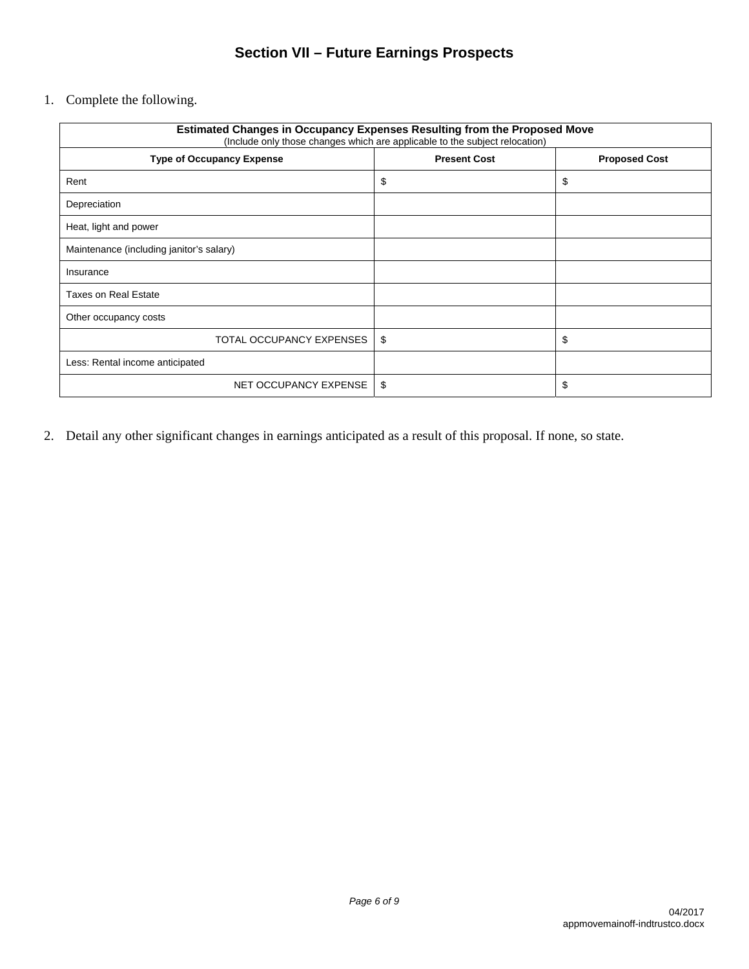## **Section VII – Future Earnings Prospects**

1. Complete the following.

| <b>Estimated Changes in Occupancy Expenses Resulting from the Proposed Move</b><br>(Include only those changes which are applicable to the subject relocation) |                     |                      |  |
|----------------------------------------------------------------------------------------------------------------------------------------------------------------|---------------------|----------------------|--|
| <b>Type of Occupancy Expense</b>                                                                                                                               | <b>Present Cost</b> | <b>Proposed Cost</b> |  |
| Rent                                                                                                                                                           | \$                  | \$                   |  |
| Depreciation                                                                                                                                                   |                     |                      |  |
| Heat, light and power                                                                                                                                          |                     |                      |  |
| Maintenance (including janitor's salary)                                                                                                                       |                     |                      |  |
| Insurance                                                                                                                                                      |                     |                      |  |
| <b>Taxes on Real Estate</b>                                                                                                                                    |                     |                      |  |
| Other occupancy costs                                                                                                                                          |                     |                      |  |
| TOTAL OCCUPANCY EXPENSES                                                                                                                                       | \$                  | \$                   |  |
| Less: Rental income anticipated                                                                                                                                |                     |                      |  |
| NET OCCUPANCY EXPENSE                                                                                                                                          | \$                  | \$                   |  |

2. Detail any other significant changes in earnings anticipated as a result of this proposal. If none, so state.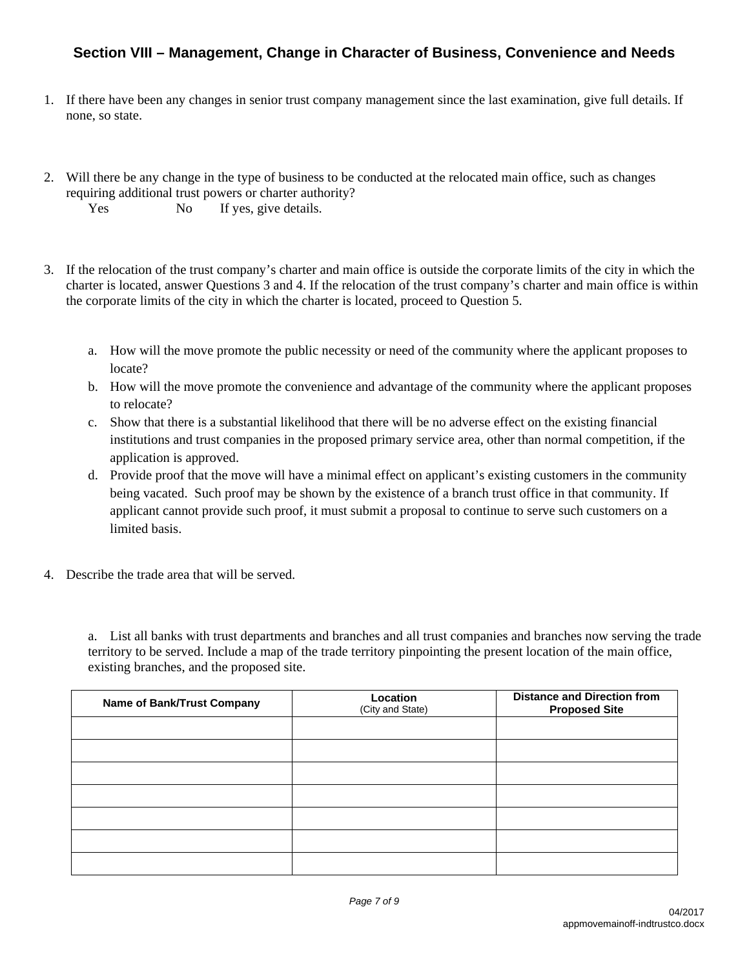## **Section VIII – Management, Change in Character of Business, Convenience and Needs**

- 1. If there have been any changes in senior trust company management since the last examination, give full details. If none, so state.
- 2. Will there be any change in the type of business to be conducted at the relocated main office, such as changes requiring additional trust powers or charter authority? Yes No If yes, give details.
- 3. If the relocation of the trust company's charter and main office is outside the corporate limits of the city in which the charter is located, answer Questions 3 and 4. If the relocation of the trust company's charter and main office is within the corporate limits of the city in which the charter is located, proceed to Question 5.
	- a. How will the move promote the public necessity or need of the community where the applicant proposes to locate?
	- b. How will the move promote the convenience and advantage of the community where the applicant proposes to relocate?
	- c. Show that there is a substantial likelihood that there will be no adverse effect on the existing financial institutions and trust companies in the proposed primary service area, other than normal competition, if the application is approved.
	- d. Provide proof that the move will have a minimal effect on applicant's existing customers in the community being vacated. Such proof may be shown by the existence of a branch trust office in that community. If applicant cannot provide such proof, it must submit a proposal to continue to serve such customers on a limited basis.
- 4. Describe the trade area that will be served.

 a. List all banks with trust departments and branches and all trust companies and branches now serving the trade territory to be served. Include a map of the trade territory pinpointing the present location of the main office, existing branches, and the proposed site.

| <b>Name of Bank/Trust Company</b> | Location<br>(City and State) | <b>Distance and Direction from</b><br><b>Proposed Site</b> |
|-----------------------------------|------------------------------|------------------------------------------------------------|
|                                   |                              |                                                            |
|                                   |                              |                                                            |
|                                   |                              |                                                            |
|                                   |                              |                                                            |
|                                   |                              |                                                            |
|                                   |                              |                                                            |
|                                   |                              |                                                            |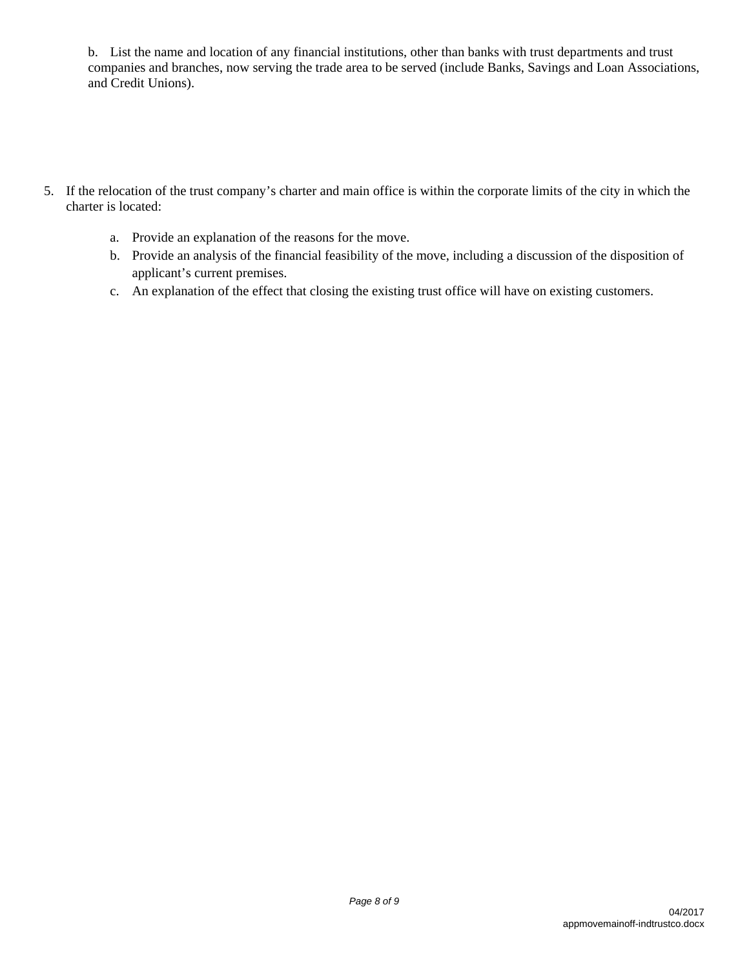b. List the name and location of any financial institutions, other than banks with trust departments and trust companies and branches, now serving the trade area to be served (include Banks, Savings and Loan Associations, and Credit Unions).

- 5. If the relocation of the trust company's charter and main office is within the corporate limits of the city in which the charter is located:
	- a. Provide an explanation of the reasons for the move.
	- b. Provide an analysis of the financial feasibility of the move, including a discussion of the disposition of applicant's current premises.
	- c. An explanation of the effect that closing the existing trust office will have on existing customers.